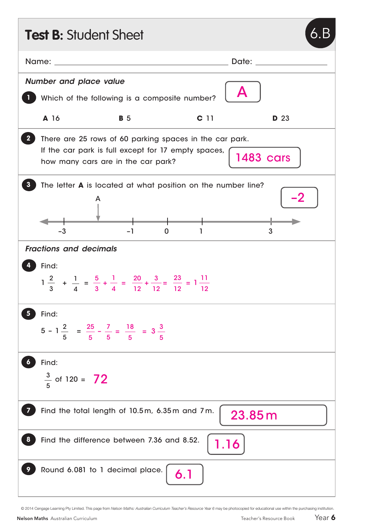| <b>Test B: Student Sheet</b>                                                                                                                                             |                                                                                |                 |                           |  |  |  |
|--------------------------------------------------------------------------------------------------------------------------------------------------------------------------|--------------------------------------------------------------------------------|-----------------|---------------------------|--|--|--|
| Name:                                                                                                                                                                    |                                                                                |                 | Date:                     |  |  |  |
| <b>Number and place value</b>                                                                                                                                            | Which of the following is a composite number?                                  |                 | $\boldsymbol{\mathsf{A}}$ |  |  |  |
| A 16                                                                                                                                                                     | <b>B</b> 5                                                                     | C <sub>11</sub> | <b>D</b> 23               |  |  |  |
| There are 25 rows of 60 parking spaces in the car park.<br>If the car park is full except for 17 empty spaces,<br><b>1483 cars</b><br>how many cars are in the car park? |                                                                                |                 |                           |  |  |  |
| -3                                                                                                                                                                       | The letter <b>A</b> is located at what position on the number line?<br>A<br>-1 | 0               | 3                         |  |  |  |
| <b>Fractions and decimals</b>                                                                                                                                            |                                                                                |                 |                           |  |  |  |
| Find:<br>$1\frac{2}{3}$ + $\frac{1}{4}$ = $\frac{5}{3}$ + $\frac{1}{4}$ = $\frac{20}{12}$ + $\frac{3}{12}$ = $\frac{23}{12}$ = $1\frac{11}{12}$                          |                                                                                |                 |                           |  |  |  |
| Find:                                                                                                                                                                    | $5 - 1\frac{2}{5} = \frac{25}{5} - \frac{7}{5} = \frac{18}{5} = 3\frac{3}{5}$  |                 |                           |  |  |  |
| Find:<br>$\frac{3}{5}$ of 120 = 72                                                                                                                                       |                                                                                |                 |                           |  |  |  |
| Find the total length of 10.5m, 6.35m and 7m.<br>23.85m                                                                                                                  |                                                                                |                 |                           |  |  |  |
| Find the difference between 7.36 and 8.52.<br>1.16                                                                                                                       |                                                                                |                 |                           |  |  |  |
|                                                                                                                                                                          | Round 6.081 to 1 decimal place.                                                | 6.1             |                           |  |  |  |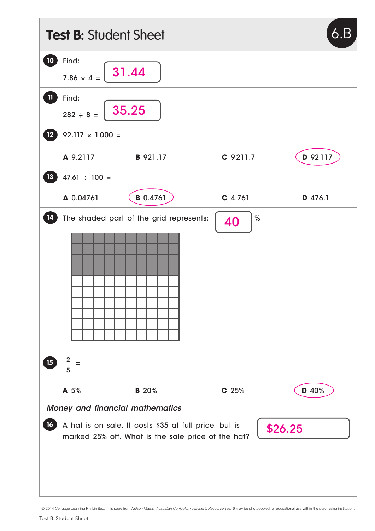| 6.B<br><b>Test B: Student Sheet</b>                                                                                                                                          |                                     |                                         |                  |         |  |  |  |
|------------------------------------------------------------------------------------------------------------------------------------------------------------------------------|-------------------------------------|-----------------------------------------|------------------|---------|--|--|--|
| $\boxed{10}$                                                                                                                                                                 | Find:<br>31.44<br>$7.86 \times 4 =$ |                                         |                  |         |  |  |  |
| $\mathbf{u}$                                                                                                                                                                 | Find:<br>35.25<br>$282 \div 8 =$    |                                         |                  |         |  |  |  |
| 12 <sup>°</sup>                                                                                                                                                              | $92.117 \times 1000 =$              |                                         |                  |         |  |  |  |
|                                                                                                                                                                              | A 9.2117                            | <b>B</b> 921.17                         | C 9211.7         | D 92117 |  |  |  |
| 13                                                                                                                                                                           | $47.61 \div 100 =$                  |                                         |                  |         |  |  |  |
|                                                                                                                                                                              | A 0.04761                           | <b>B</b> 0.4761                         | $C$ 4.761        | D 476.1 |  |  |  |
| 14                                                                                                                                                                           |                                     | The shaded part of the grid represents: | $\%$<br>40       |         |  |  |  |
| 15                                                                                                                                                                           | $\frac{2}{x}$ =<br>5                |                                         |                  |         |  |  |  |
|                                                                                                                                                                              | A 5%                                | <b>B</b> 20%                            | C <sub>25%</sub> | D 40%   |  |  |  |
| Money and financial mathematics<br>A hat is on sale. It costs \$35 at full price, but is<br>16 <sup>1</sup><br>\$26.25<br>marked 25% off. What is the sale price of the hat? |                                     |                                         |                  |         |  |  |  |

<sup>© 2014</sup> Cengage Learning Pty Limited. This page from *Nelson Maths: Australian Curriculum Teacher's Resource Year 6* may be photocopied for educational use within the purchasing institution.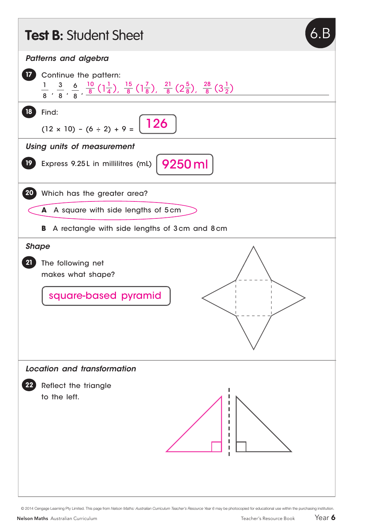

© 2014 Cengage Learning Pty Limited. This page from *Nelson Maths: Australian Curriculum Teacher's Resource Year 6* may be photocopied for educational use within the purchasing institution.